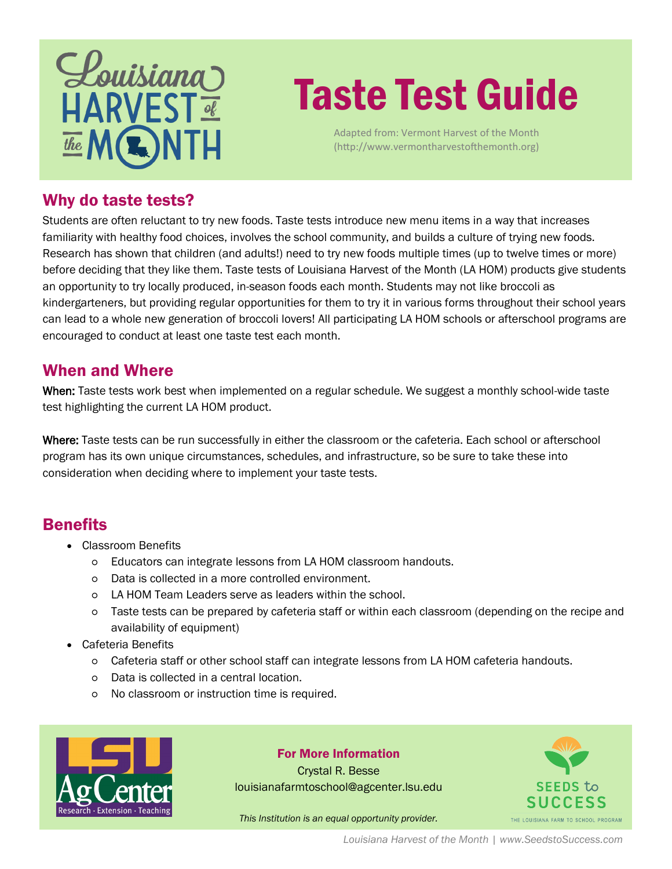

## Taste Test Guide

Adapted from: Vermont Harvest of the Month (http://www.vermontharvestofthemonth.org)

### Why do taste tests?

 encouraged to conduct at least one taste test each month. Students are often reluctant to try new foods. Taste tests introduce new menu items in a way that increases familiarity with healthy food choices, involves the school community, and builds a culture of trying new foods. Research has shown that children (and adults!) need to try new foods multiple times (up to twelve times or more) before deciding that they like them. Taste tests of Louisiana Harvest of the Month (LA HOM) products give students an opportunity to try locally produced, in-season foods each month. Students may not like broccoli as kindergarteners, but providing regular opportunities for them to try it in various forms throughout their school years can lead to a whole new generation of broccoli lovers! All participating LA HOM schools or afterschool programs are

### When and Where

When: Taste tests work best when implemented on a regular schedule. We suggest a monthly school-wide taste test highlighting the current LA HOM product.

Where: Taste tests can be run successfully in either the classroom or the cafeteria. Each school or afterschool program has its own unique circumstances, schedules, and infrastructure, so be sure to take these into consideration when deciding where to implement your taste tests.

## **Benefits**

- Classroom Benefits
	- Educators can integrate lessons from LA HOM classroom handouts.
	- Data is collected in a more controlled environment.
	- LA HOM Team Leaders serve as leaders within the school.
	- Taste tests can be prepared by cafeteria staff or within each classroom (depending on the recipe and availability of equipment)
- Cafeteria Benefits
	- Cafeteria staff or other school staff can integrate lessons from LA HOM cafeteria handouts.
	- Data is collected in a central location.
	- No classroom or instruction time is required.



#### For More Information

Crystal R. Besse louisianafarmtoschool@agcenter.lsu.edu



*This Institution is an equal opportunity provider.*

*Louisiana Harvest of the Month | www.[SeedstoSuccess.com](https://seedstosuccess.com/)*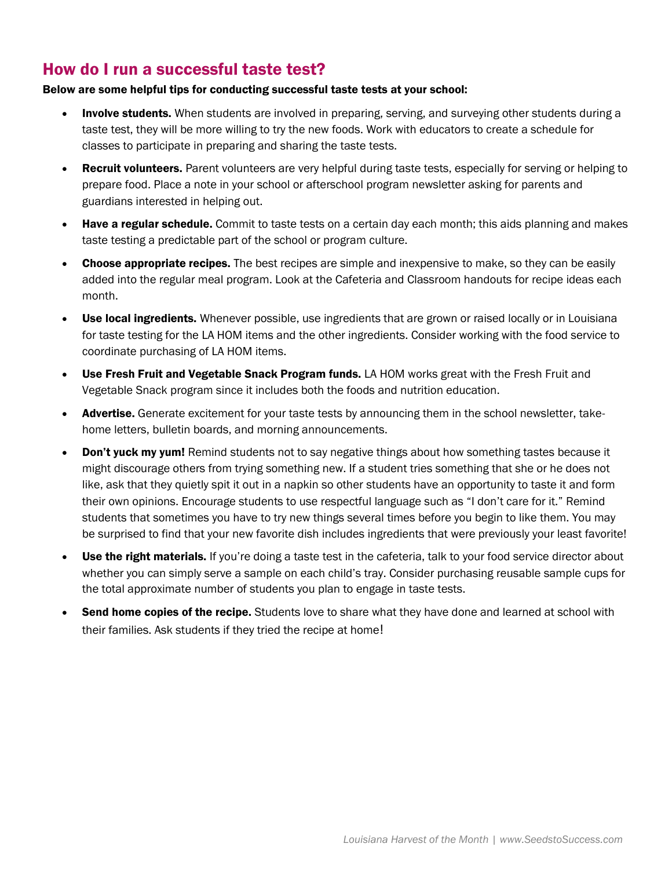### How do I run a successful taste test?

#### Below are some helpful tips for conducting successful taste tests at your school:

- Involve students. When students are involved in preparing, serving, and surveying other students during a taste test, they will be more willing to try the new foods. Work with educators to create a schedule for classes to participate in preparing and sharing the taste tests.
- Recruit volunteers. Parent volunteers are very helpful during taste tests, especially for serving or helping to prepare food. Place a note in your school or afterschool program newsletter asking for parents and guardians interested in helping out.
- **Have a regular schedule.** Commit to taste tests on a certain day each month; this aids planning and makes taste testing a predictable part of the school or program culture.
- Choose appropriate recipes. The best recipes are simple and inexpensive to make, so they can be easily added into the regular meal program. Look at the Cafeteria and Classroom handouts for recipe ideas each month.
- Use local ingredients. Whenever possible, use ingredients that are grown or raised locally or in Louisiana for taste testing for the LA HOM items and the other ingredients. Consider working with the food service to coordinate purchasing of LA HOM items.
- Use Fresh Fruit and Vegetable Snack Program funds. LA HOM works great with the Fresh Fruit and Vegetable Snack program since it includes both the foods and nutrition education.
- Advertise. Generate excitement for your taste tests by announcing them in the school newsletter, takehome letters, bulletin boards, and morning announcements.
- Don't yuck my yum! Remind students not to say negative things about how something tastes because it might discourage others from trying something new. If a student tries something that she or he does not like, ask that they quietly spit it out in a napkin so other students have an opportunity to taste it and form their own opinions. Encourage students to use respectful language such as "I don't care for it." Remind students that sometimes you have to try new things several times before you begin to like them. You may be surprised to find that your new favorite dish includes ingredients that were previously your least favorite!
- Use the right materials. If you're doing a taste test in the cafeteria, talk to your food service director about whether you can simply serve a sample on each child's tray. Consider purchasing reusable sample cups for the total approximate number of students you plan to engage in taste tests.
- **Send home copies of the recipe.** Students love to share what they have done and learned at school with their families. Ask students if they tried the recipe at home!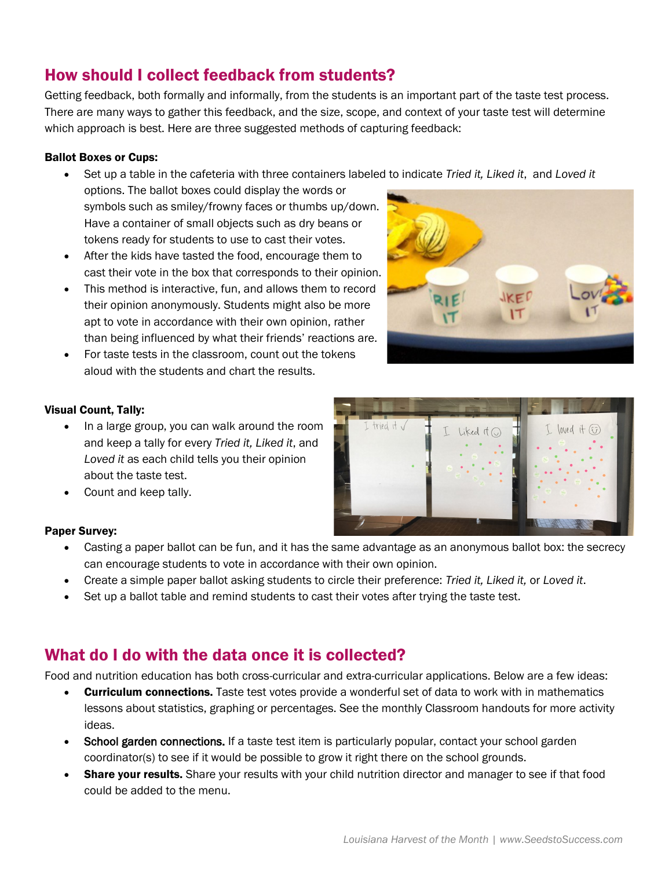## How should I collect feedback from students?

 which approach is best. Here are three suggested methods of capturing feedback: Getting feedback, both formally and informally, from the students is an important part of the taste test process. There are many ways to gather this feedback, and the size, scope, and context of your taste test will determine

#### Ballot Boxes or Cups:

- Set up a table in the cafeteria with three containers labeled to indicate *Tried it, Liked it*, and *Loved it*
- symbols such as smiley/frowny faces or thumbs up/down. options. The ballot boxes could display the words or Have a container of small objects such as dry beans or tokens ready for students to use to cast their votes.
- After the kids have tasted the food, encourage them to cast their vote in the box that corresponds to their opinion.
- This method is interactive, fun, and allows them to record their opinion anonymously. Students might also be more apt to vote in accordance with their own opinion, rather than being influenced by what their friends' reactions are.
- For taste tests in the classroom, count out the tokens aloud with the students and chart the results.

• In a large group, you can walk around the room

## and keep a tally for every *Tried it, Liked it*, and *Loved it* as each child tells you their opinion about the taste test. • Count and keep tally.

### Paper Survey:

Visual Count, Tally:

- can encourage students to vote in accordance with their own opinion. Casting a paper ballot can be fun, and it has the same advantage as an anonymous ballot box: the secrecy
- Create a simple paper ballot asking students to circle their preference: *Tried it, Liked it,* or *Loved it*.
- Set up a ballot table and remind students to cast their votes after trying the taste test.

## What do I do with the data once it is collected?

Food and nutrition education has both cross-curricular and extra-curricular applications. Below are a few ideas:

- lessons about statistics, graphing or percentages. See the monthly Classroom handouts for more activity **Curriculum connections.** Taste test votes provide a wonderful set of data to work with in mathematics ideas.
- School garden connections. If a taste test item is particularly popular, contact your school garden coordinator(s) to see if it would be possible to grow it right there on the school grounds.
- Share your results. Share your results with your child nutrition director and manager to see if that food could be added to the menu.



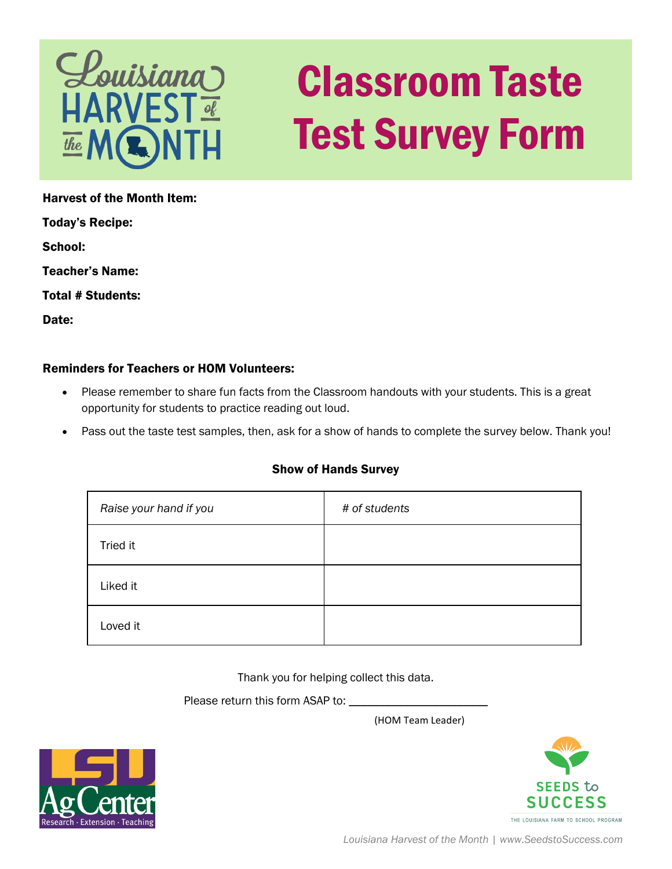

# Classroom Taste Test Survey Form

Harvest of the Month Item:

Today's Recipe:

School:

Teacher's Name:

Total # Students:

Date:

### Reminders for Teachers or HOM Volunteers:

- Please remember to share fun facts from the Classroom handouts with your students. This is a great opportunity for students to practice reading out loud.
- Pass out the taste test samples, then, ask for a show of hands to complete the survey below. Thank you!

#### Show of Hands Survey

| Raise your hand if you | # of students |
|------------------------|---------------|
| Tried it               |               |
| Liked it               |               |
| Loved it               |               |

Thank you for helping collect this data.

Please return this form ASAP to: \_\_\_\_\_\_\_\_\_\_\_\_\_\_\_\_\_\_\_\_\_\_\_

(HOM Team Leader)



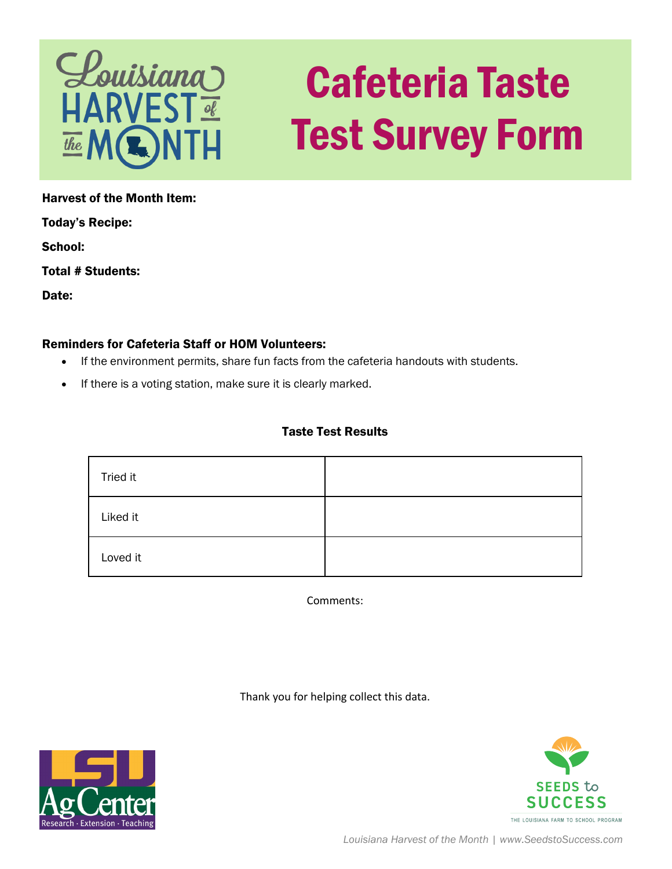

# Cafeteria Taste Test Survey Form

Harvest of the Month Item:

Today's Recipe:

School:

Total # Students:

Date:

### Reminders for Cafeteria Staff or HOM Volunteers:

- If the environment permits, share fun facts from the cafeteria handouts with students.
- If there is a voting station, make sure it is clearly marked.

### Taste Test Results

| Tried it |  |
|----------|--|
| Liked it |  |
| Loved it |  |

Comments:

Thank you for helping collect this data.



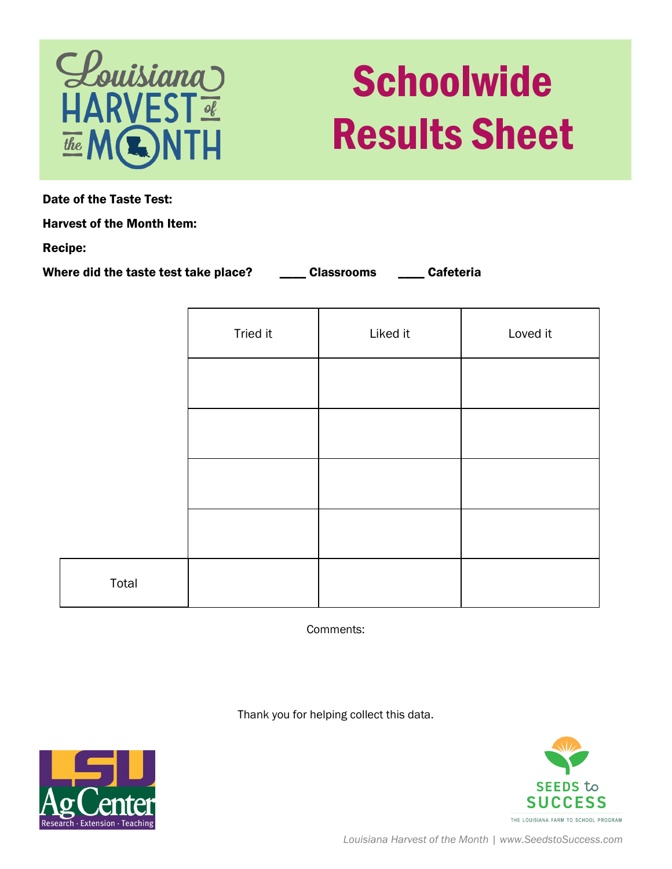

## **Schoolwide** Results Sheet

Date of the Taste Test:

Harvest of the Month Item:

Recipe:

Where did the taste test take place? \_\_\_\_\_\_\_ Classrooms \_\_\_\_\_\_ Cafeteria

|       | Tried it | Liked it | Loved it |
|-------|----------|----------|----------|
|       |          |          |          |
|       |          |          |          |
|       |          |          |          |
|       |          |          |          |
| Total |          |          |          |

Comments:

Thank you for helping collect this data.